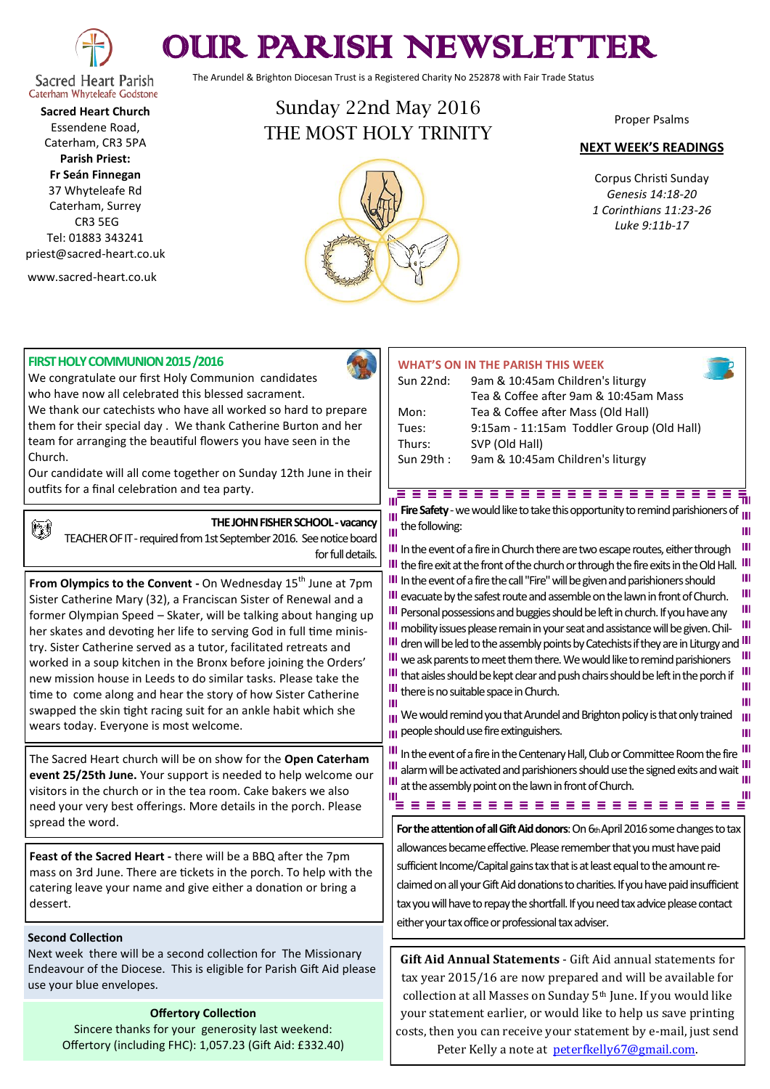

# OUR PARISH NEWSLETTER

The Arundel & Brighton Diocesan Trust is a Registered Charity No 252878 with Fair Trade Status

#### **Sacred Heart Parish** Caterham Whyteleafe Godstone **Sacred Heart Church** Essendene Road,

Caterham, CR3 5PA **Parish Priest: Fr Seán Finnegan** 37 Whyteleafe Rd

Caterham, Surrey CR3 5EG Tel: 01883 343241 priest@sacred-heart.co.uk

www.sacred-heart.co.uk

## Sunday 22nd May 2016 THE MOST HOLY TRINITY



Proper Psalms

#### **NEXT WEEK'S READINGS**

Corpus Christi Sunday *Genesis 14:18-20 1 Corinthians 11:23-26 Luke 9:11b-17*

#### **FIRST HOLY COMMUNION 2015 /2016**

We congratulate our first Holy Communion candidates who have now all celebrated this blessed sacrament. We thank our catechists who have all worked so hard to prepare them for their special day . We thank Catherine Burton and her team for arranging the beautiful flowers you have seen in the Church.

Our candidate will all come together on Sunday 12th June in their outfits for a final celebration and tea party.

## 働

**THE JOHN FISHER SCHOOL -vacancy**

TEACHER OF IT - required from 1st September 2016. See notice board for full details.

**From Olympics to the Convent -** On Wednesday 15<sup>th</sup> June at 7pm Sister Catherine Mary (32), a Franciscan Sister of Renewal and a former Olympian Speed – Skater, will be talking about hanging up her skates and devoting her life to serving God in full time ministry. Sister Catherine served as a tutor, facilitated retreats and worked in a soup kitchen in the Bronx before joining the Orders' new mission house in Leeds to do similar tasks. Please take the time to come along and hear the story of how Sister Catherine swapped the skin tight racing suit for an ankle habit which she wears today. Everyone is most welcome.

The Sacred Heart church will be on show for the **Open Caterham event 25/25th June.** Your support is needed to help welcome our visitors in the church or in the tea room. Cake bakers we also need your very best offerings. More details in the porch. Please spread the word.

**Feast of the Sacred Heart -** there will be a BBQ after the 7pm mass on 3rd June. There are tickets in the porch. To help with the catering leave your name and give either a donation or bring a dessert.

#### **Second Collection**

Next week there will be a second collection for The Missionary Endeavour of the Diocese. This is eligible for Parish Gift Aid please use your blue envelopes.

#### **Offertory Collection**

Sincere thanks for your generosity last weekend: Offertory (including FHC): 1,057.23 (Gift Aid: £332.40)

## **WHAT'S ON IN THE PARISH THIS WEEK**

| Sun 22nd: | 9am & 10:45am Children's liturgy          |
|-----------|-------------------------------------------|
|           | Tea & Coffee after 9am & 10:45am Mass     |
| Mon:      | Tea & Coffee after Mass (Old Hall)        |
| Tues:     | 9:15am - 11:15am Toddler Group (Old Hall) |
| Thurs:    | SVP (Old Hall)                            |
| Sun 29th: | 9am & 10:45am Children's liturgy          |

#### <u>, podobno do podobno do po</u> Б'n

**Fire Safety** - we would like to take this opportunity to remind parishioners of m the following: Ш

III In the event of a fire in Church there are two escape routes, either through III the fire exit at the front of the church or through the fire exits in the Old Hall. III Ш **III** In the event of a fire the call "Fire" will be given and parishioners should Ш III evacuate by the safest route and assemble on the lawn in front of Church. Ш **III** Personal possessions and buggies should be left in church. If you have any Ш III mobility issues please remain in your seat and assistance will be given. Chil-III dren will be led to the assembly points by Catechists if they are in Liturgy and III<br>III we ask paramete to meet them them. Moweveld like to remind porishing and III III we ask parents to meet them there. We would like to remind parishioners  $\mathbf{H}$ III that aisles should be kept clear and push chairs should be left in the porch if Ш III there is no suitable space in Church. Ш  $\mathbf{m}$ 

III We would remind you that Arundel and Brighton policy is that only trained Ш **pu** people should use fire extinguishers.

III In the event of a fire in the Centenary Hall, Club or Committee Room the fire III alarm will be activated and parishioners should use the signed exits and wait Ш at the assembly point on the lawn in front of Church.

**For the attention of all Gift Aid donors**: On 6th April 2016 some changes to tax allowances became effective. Please remember that you must have paid sufficient Income/Capital gains tax that is at least equal to the amount reclaimed on all your Gift Aid donations to charities. If you have paid insufficient tax you will have to repay the shortfall. If you need tax advice please contact either your tax office or professional tax adviser.

**Gift Aid Annual Statements** - Gift Aid annual statements for tax year 2015/16 are now prepared and will be available for collection at all Masses on Sunday 5<sup>th</sup> June. If you would like your statement earlier, or would like to help us save printing costs, then you can receive your statement by e-mail, just send Peter Kelly a note at [peterfkelly67@gmail.com.](mailto:peterfkelly67@gmail.com)